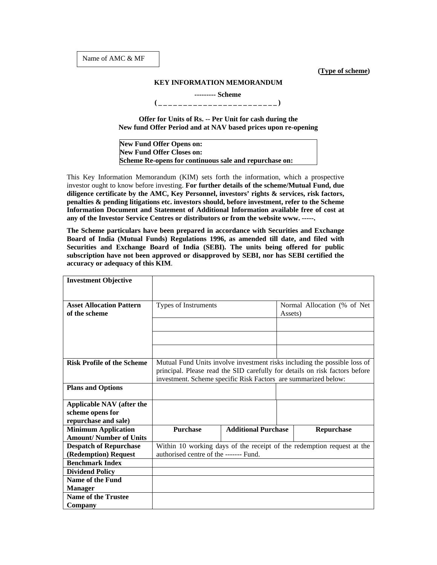**(Type of scheme)** 

## **KEY INFORMATION MEMORANDUM**

 **--------- Scheme** 

**(\_\_\_\_\_\_\_\_\_\_\_\_\_\_\_\_\_\_\_\_\_\_\_\_)** 

**Offer for Units of Rs. -- Per Unit for cash during the New fund Offer Period and at NAV based prices upon re-opening** 

**New Fund Offer Opens on: New Fund Offer Closes on: Scheme Re-opens for continuous sale and repurchase on:** 

This Key Information Memorandum (KIM) sets forth the information, which a prospective investor ought to know before investing. **For further details of the scheme/Mutual Fund, due diligence certificate by the AMC, Key Personnel, investors' rights & services, risk factors, penalties & pending litigations etc. investors should, before investment, refer to the Scheme Information Document and Statement of Additional Information available free of cost at any of the Investor Service Centres or distributors or from the website www. -----.**

**The Scheme particulars have been prepared in accordance with Securities and Exchange Board of India (Mutual Funds) Regulations 1996, as amended till date, and filed with Securities and Exchange Board of India (SEBI). The units being offered for public subscription have not been approved or disapproved by SEBI, nor has SEBI certified the accuracy or adequacy of this KIM**.

| <b>Investment Objective</b>       |                                                                             |                            |         |                              |  |
|-----------------------------------|-----------------------------------------------------------------------------|----------------------------|---------|------------------------------|--|
|                                   |                                                                             |                            |         |                              |  |
| <b>Asset Allocation Pattern</b>   | Types of Instruments                                                        |                            |         | Normal Allocation (% of Net) |  |
| of the scheme                     |                                                                             |                            | Assets) |                              |  |
|                                   |                                                                             |                            |         |                              |  |
|                                   |                                                                             |                            |         |                              |  |
|                                   |                                                                             |                            |         |                              |  |
| <b>Risk Profile of the Scheme</b> | Mutual Fund Units involve investment risks including the possible loss of   |                            |         |                              |  |
|                                   | principal. Please read the SID carefully for details on risk factors before |                            |         |                              |  |
|                                   | investment. Scheme specific Risk Factors are summarized below:              |                            |         |                              |  |
| <b>Plans and Options</b>          |                                                                             |                            |         |                              |  |
|                                   |                                                                             |                            |         |                              |  |
| <b>Applicable NAV</b> (after the  |                                                                             |                            |         |                              |  |
| scheme opens for                  |                                                                             |                            |         |                              |  |
| repurchase and sale)              |                                                                             |                            |         |                              |  |
| <b>Minimum Application</b>        | <b>Purchase</b>                                                             | <b>Additional Purchase</b> |         | Repurchase                   |  |
| <b>Amount/ Number of Units</b>    |                                                                             |                            |         |                              |  |
| <b>Despatch of Repurchase</b>     | Within 10 working days of the receipt of the redemption request at the      |                            |         |                              |  |
| (Redemption) Request              | authorised centre of the ------- Fund.                                      |                            |         |                              |  |
| <b>Benchmark Index</b>            |                                                                             |                            |         |                              |  |
| <b>Dividend Policy</b>            |                                                                             |                            |         |                              |  |
| <b>Name of the Fund</b>           |                                                                             |                            |         |                              |  |
| <b>Manager</b>                    |                                                                             |                            |         |                              |  |
| Name of the Trustee               |                                                                             |                            |         |                              |  |
| Company                           |                                                                             |                            |         |                              |  |